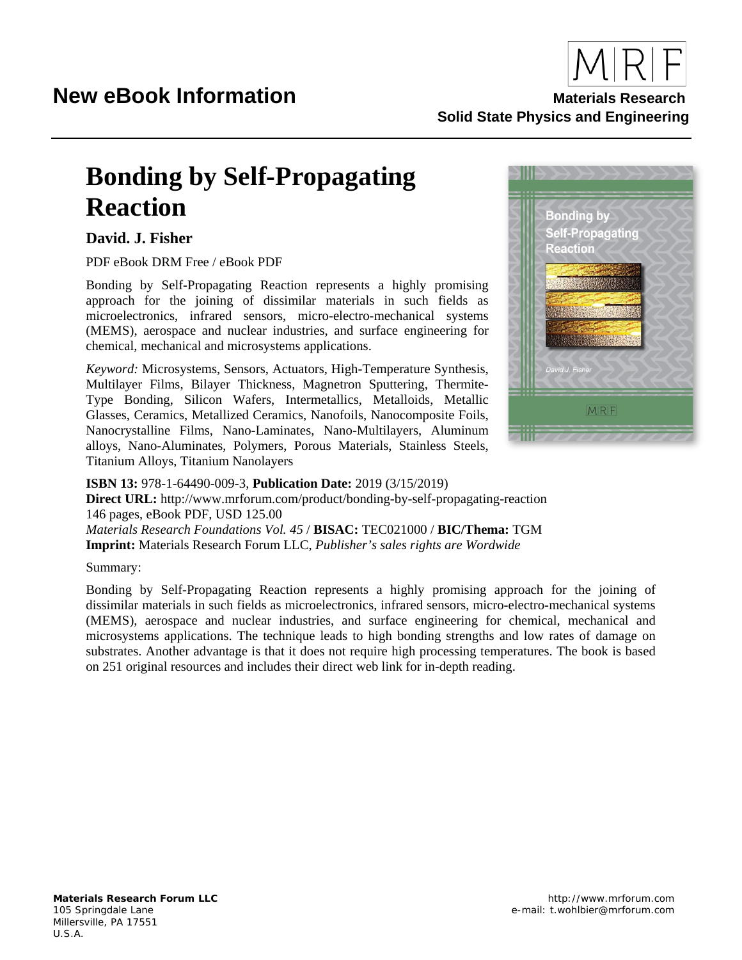

**Solid State Physics and Engineering**

## **Bonding by Self-Propagating Reaction**

## **David. J. Fisher**

PDF eBook DRM Free / eBook PDF

Bonding by Self-Propagating Reaction represents a highly promising approach for the joining of dissimilar materials in such fields as microelectronics, infrared sensors, micro-electro-mechanical systems (MEMS), aerospace and nuclear industries, and surface engineering for chemical, mechanical and microsystems applications.

*Keyword:* Microsystems, Sensors, Actuators, High-Temperature Synthesis, Multilayer Films, Bilayer Thickness, Magnetron Sputtering, Thermite-Type Bonding, Silicon Wafers, Intermetallics, Metalloids, Metallic Glasses, Ceramics, Metallized Ceramics, Nanofoils, Nanocomposite Foils, Nanocrystalline Films, Nano-Laminates, Nano-Multilayers, Aluminum alloys, Nano-Aluminates, Polymers, Porous Materials, Stainless Steels, Titanium Alloys, Titanium Nanolayers



**ISBN 13:** 978-1-64490-009-3, **Publication Date:** 2019 (3/15/2019) **Direct URL:** http://www.mrforum.com/product/bonding-by-self-propagating-reaction 146 pages, eBook PDF, USD 125.00 *Materials Research Foundations Vol. 45* / **BISAC:** TEC021000 / **BIC/Thema:** TGM **Imprint:** Materials Research Forum LLC, *Publisher's sales rights are Wordwide*

#### Summary:

Bonding by Self-Propagating Reaction represents a highly promising approach for the joining of dissimilar materials in such fields as microelectronics, infrared sensors, micro-electro-mechanical systems (MEMS), aerospace and nuclear industries, and surface engineering for chemical, mechanical and microsystems applications. The technique leads to high bonding strengths and low rates of damage on substrates. Another advantage is that it does not require high processing temperatures. The book is based on 251 original resources and includes their direct web link for in-depth reading.